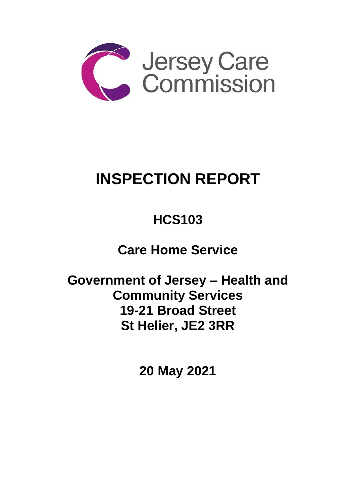

# **INSPECTION REPORT**

## **HCS103**

## **Care Home Service**

**Government of Jersey – Health and Community Services 19-21 Broad Street St Helier, JE2 3RR**

**20 May 2021**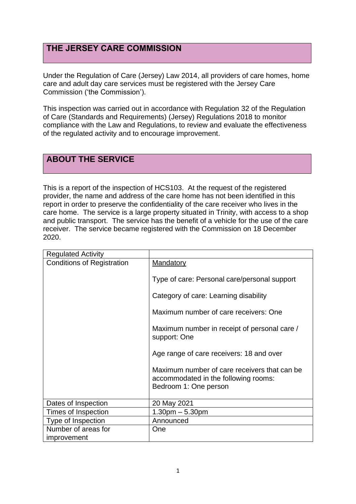## **THE JERSEY CARE COMMISSION**

Under the Regulation of Care (Jersey) Law 2014, all providers of care homes, home care and adult day care services must be registered with the Jersey Care Commission ('the Commission').

This inspection was carried out in accordance with Regulation 32 of the Regulation of Care (Standards and Requirements) (Jersey) Regulations 2018 to monitor compliance with the Law and Regulations, to review and evaluate the effectiveness of the regulated activity and to encourage improvement.

## **ABOUT THE SERVICE**

This is a report of the inspection of HCS103. At the request of the registered provider, the name and address of the care home has not been identified in this report in order to preserve the confidentiality of the care receiver who lives in the care home. The service is a large property situated in Trinity, with access to a shop and public transport. The service has the benefit of a vehicle for the use of the care receiver. The service became registered with the Commission on 18 December 2020.

| <b>Regulated Activity</b>         |                                                                                                               |
|-----------------------------------|---------------------------------------------------------------------------------------------------------------|
| <b>Conditions of Registration</b> | Mandatory                                                                                                     |
|                                   | Type of care: Personal care/personal support                                                                  |
|                                   | Category of care: Learning disability                                                                         |
|                                   | Maximum number of care receivers: One                                                                         |
|                                   | Maximum number in receipt of personal care /<br>support: One                                                  |
|                                   | Age range of care receivers: 18 and over                                                                      |
|                                   | Maximum number of care receivers that can be<br>accommodated in the following rooms:<br>Bedroom 1: One person |
| Dates of Inspection               | 20 May 2021                                                                                                   |
| Times of Inspection               | $1.30pm - 5.30pm$                                                                                             |
| Type of Inspection                | Announced                                                                                                     |
| Number of areas for               | One                                                                                                           |
| improvement                       |                                                                                                               |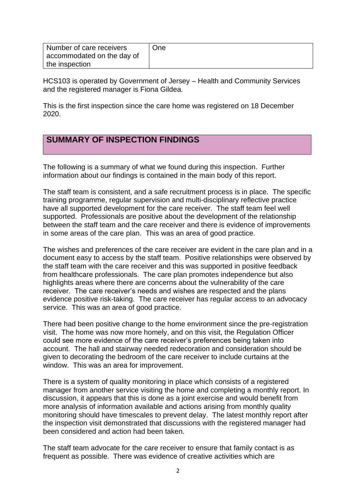| Number of care receivers   | One |
|----------------------------|-----|
| accommodated on the day of |     |
| the inspection             |     |

HCS103 is operated by Government of Jersey – Health and Community Services and the registered manager is Fiona Gildea.

This is the first inspection since the care home was registered on 18 December 2020.

## **SUMMARY OF INSPECTION FINDINGS**

The following is a summary of what we found during this inspection. Further information about our findings is contained in the main body of this report.

The staff team is consistent, and a safe recruitment process is in place. The specific training programme, regular supervision and multi-disciplinary reflective practice have all supported development for the care receiver. The staff team feel well supported. Professionals are positive about the development of the relationship between the staff team and the care receiver and there is evidence of improvements in some areas of the care plan. This was an area of good practice.

The wishes and preferences of the care receiver are evident in the care plan and in a document easy to access by the staff team. Positive relationships were observed by the staff team with the care receiver and this was supported in positive feedback from healthcare professionals. The care plan promotes independence but also highlights areas where there are concerns about the vulnerability of the care receiver. The care receiver's needs and wishes are respected and the plans evidence positive risk-taking. The care receiver has regular access to an advocacy service. This was an area of good practice.

There had been positive change to the home environment since the pre-registration visit. The home was now more homely, and on this visit, the Regulation Officer could see more evidence of the care receiver's preferences being taken into account. The hall and stairway needed redecoration and consideration should be given to decorating the bedroom of the care receiver to include curtains at the window. This was an area for improvement.

There is a system of quality monitoring in place which consists of a registered manager from another service visiting the home and completing a monthly report. In discussion, it appears that this is done as a joint exercise and would benefit from more analysis of information available and actions arising from monthly quality monitoring should have timescales to prevent delay. The latest monthly report after the inspection visit demonstrated that discussions with the registered manager had been considered and action had been taken.

The staff team advocate for the care receiver to ensure that family contact is as frequent as possible. There was evidence of creative activities which are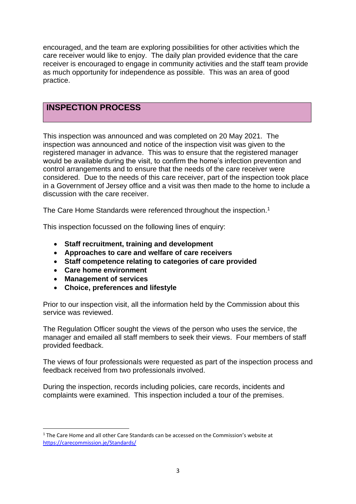encouraged, and the team are exploring possibilities for other activities which the care receiver would like to enjoy. The daily plan provided evidence that the care receiver is encouraged to engage in community activities and the staff team provide as much opportunity for independence as possible. This was an area of good practice.

### **INSPECTION PROCESS**

This inspection was announced and was completed on 20 May 2021. The inspection was announced and notice of the inspection visit was given to the registered manager in advance. This was to ensure that the registered manager would be available during the visit, to confirm the home's infection prevention and control arrangements and to ensure that the needs of the care receiver were considered. Due to the needs of this care receiver, part of the inspection took place in a Government of Jersey office and a visit was then made to the home to include a discussion with the care receiver.

The Care Home Standards were referenced throughout the inspection.<sup>1</sup>

This inspection focussed on the following lines of enquiry:

- **Staff recruitment, training and development**
- **Approaches to care and welfare of care receivers**
- **Staff competence relating to categories of care provided**
- **Care home environment**
- **Management of services**
- **Choice, preferences and lifestyle**

Prior to our inspection visit, all the information held by the Commission about this service was reviewed.

The Regulation Officer sought the views of the person who uses the service, the manager and emailed all staff members to seek their views. Four members of staff provided feedback.

The views of four professionals were requested as part of the inspection process and feedback received from two professionals involved.

During the inspection, records including policies, care records, incidents and complaints were examined. This inspection included a tour of the premises.

<sup>&</sup>lt;sup>1</sup> The Care Home and all other Care Standards can be accessed on the Commission's website at [https://carecommission.je/Standards/](https://carecommission.je/standards/)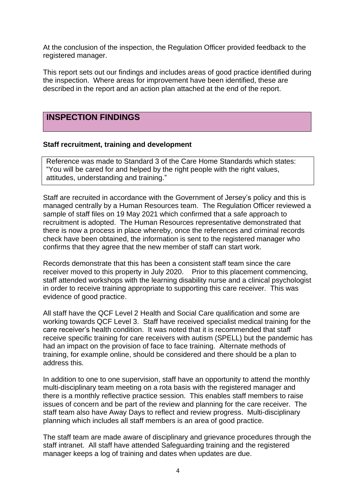At the conclusion of the inspection, the Regulation Officer provided feedback to the registered manager.

This report sets out our findings and includes areas of good practice identified during the inspection. Where areas for improvement have been identified, these are described in the report and an action plan attached at the end of the report.

### **INSPECTION FINDINGS**

#### **Staff recruitment, training and development**

Reference was made to Standard 3 of the Care Home Standards which states: "You will be cared for and helped by the right people with the right values, attitudes, understanding and training."

Staff are recruited in accordance with the Government of Jersey's policy and this is managed centrally by a Human Resources team. The Regulation Officer reviewed a sample of staff files on 19 May 2021 which confirmed that a safe approach to recruitment is adopted. The Human Resources representative demonstrated that there is now a process in place whereby, once the references and criminal records check have been obtained, the information is sent to the registered manager who confirms that they agree that the new member of staff can start work.

Records demonstrate that this has been a consistent staff team since the care receiver moved to this property in July 2020. Prior to this placement commencing, staff attended workshops with the learning disability nurse and a clinical psychologist in order to receive training appropriate to supporting this care receiver. This was evidence of good practice.

All staff have the QCF Level 2 Health and Social Care qualification and some are working towards QCF Level 3. Staff have received specialist medical training for the care receiver's health condition. It was noted that it is recommended that staff receive specific training for care receivers with autism (SPELL) but the pandemic has had an impact on the provision of face to face training. Alternate methods of training, for example online, should be considered and there should be a plan to address this.

In addition to one to one supervision, staff have an opportunity to attend the monthly multi-disciplinary team meeting on a rota basis with the registered manager and there is a monthly reflective practice session. This enables staff members to raise issues of concern and be part of the review and planning for the care receiver. The staff team also have Away Days to reflect and review progress. Multi-disciplinary planning which includes all staff members is an area of good practice.

The staff team are made aware of disciplinary and grievance procedures through the staff intranet. All staff have attended Safeguarding training and the registered manager keeps a log of training and dates when updates are due.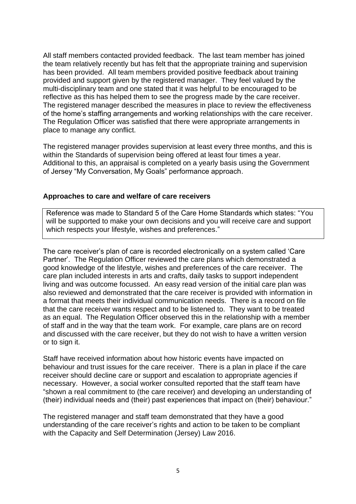All staff members contacted provided feedback. The last team member has joined the team relatively recently but has felt that the appropriate training and supervision has been provided. All team members provided positive feedback about training provided and support given by the registered manager. They feel valued by the multi-disciplinary team and one stated that it was helpful to be encouraged to be reflective as this has helped them to see the progress made by the care receiver. The registered manager described the measures in place to review the effectiveness of the home's staffing arrangements and working relationships with the care receiver. The Regulation Officer was satisfied that there were appropriate arrangements in place to manage any conflict.

The registered manager provides supervision at least every three months, and this is within the Standards of supervision being offered at least four times a year. Additional to this, an appraisal is completed on a yearly basis using the Government of Jersey "My Conversation, My Goals" performance approach.

#### **Approaches to care and welfare of care receivers**

Reference was made to Standard 5 of the Care Home Standards which states: "You will be supported to make your own decisions and you will receive care and support which respects your lifestyle, wishes and preferences."

The care receiver's plan of care is recorded electronically on a system called 'Care Partner'. The Regulation Officer reviewed the care plans which demonstrated a good knowledge of the lifestyle, wishes and preferences of the care receiver. The care plan included interests in arts and crafts, daily tasks to support independent living and was outcome focussed. An easy read version of the initial care plan was also reviewed and demonstrated that the care receiver is provided with information in a format that meets their individual communication needs. There is a record on file that the care receiver wants respect and to be listened to. They want to be treated as an equal. The Regulation Officer observed this in the relationship with a member of staff and in the way that the team work. For example, care plans are on record and discussed with the care receiver, but they do not wish to have a written version or to sign it.

Staff have received information about how historic events have impacted on behaviour and trust issues for the care receiver. There is a plan in place if the care receiver should decline care or support and escalation to appropriate agencies if necessary. However, a social worker consulted reported that the staff team have "shown a real commitment to (the care receiver) and developing an understanding of (their) individual needs and (their) past experiences that impact on (their) behaviour."

The registered manager and staff team demonstrated that they have a good understanding of the care receiver's rights and action to be taken to be compliant with the Capacity and Self Determination (Jersey) Law 2016.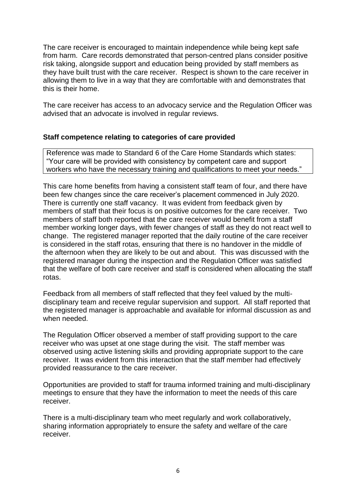The care receiver is encouraged to maintain independence while being kept safe from harm. Care records demonstrated that person-centred plans consider positive risk taking, alongside support and education being provided by staff members as they have built trust with the care receiver. Respect is shown to the care receiver in allowing them to live in a way that they are comfortable with and demonstrates that this is their home.

The care receiver has access to an advocacy service and the Regulation Officer was advised that an advocate is involved in regular reviews.

#### **Staff competence relating to categories of care provided**

Reference was made to Standard 6 of the Care Home Standards which states: "Your care will be provided with consistency by competent care and support workers who have the necessary training and qualifications to meet your needs."

This care home benefits from having a consistent staff team of four, and there have been few changes since the care receiver's placement commenced in July 2020. There is currently one staff vacancy. It was evident from feedback given by members of staff that their focus is on positive outcomes for the care receiver. Two members of staff both reported that the care receiver would benefit from a staff member working longer days, with fewer changes of staff as they do not react well to change. The registered manager reported that the daily routine of the care receiver is considered in the staff rotas, ensuring that there is no handover in the middle of the afternoon when they are likely to be out and about. This was discussed with the registered manager during the inspection and the Regulation Officer was satisfied that the welfare of both care receiver and staff is considered when allocating the staff rotas.

Feedback from all members of staff reflected that they feel valued by the multidisciplinary team and receive regular supervision and support. All staff reported that the registered manager is approachable and available for informal discussion as and when needed.

The Regulation Officer observed a member of staff providing support to the care receiver who was upset at one stage during the visit. The staff member was observed using active listening skills and providing appropriate support to the care receiver. It was evident from this interaction that the staff member had effectively provided reassurance to the care receiver.

Opportunities are provided to staff for trauma informed training and multi-disciplinary meetings to ensure that they have the information to meet the needs of this care receiver.

There is a multi-disciplinary team who meet regularly and work collaboratively, sharing information appropriately to ensure the safety and welfare of the care receiver.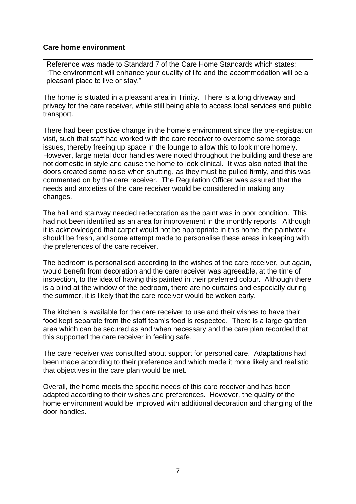#### **Care home environment**

Reference was made to Standard 7 of the Care Home Standards which states: "The environment will enhance your quality of life and the accommodation will be a pleasant place to live or stay."

The home is situated in a pleasant area in Trinity. There is a long driveway and privacy for the care receiver, while still being able to access local services and public transport.

There had been positive change in the home's environment since the pre-registration visit, such that staff had worked with the care receiver to overcome some storage issues, thereby freeing up space in the lounge to allow this to look more homely. However, large metal door handles were noted throughout the building and these are not domestic in style and cause the home to look clinical. It was also noted that the doors created some noise when shutting, as they must be pulled firmly, and this was commented on by the care receiver. The Regulation Officer was assured that the needs and anxieties of the care receiver would be considered in making any changes.

The hall and stairway needed redecoration as the paint was in poor condition. This had not been identified as an area for improvement in the monthly reports. Although it is acknowledged that carpet would not be appropriate in this home, the paintwork should be fresh, and some attempt made to personalise these areas in keeping with the preferences of the care receiver.

The bedroom is personalised according to the wishes of the care receiver, but again, would benefit from decoration and the care receiver was agreeable, at the time of inspection, to the idea of having this painted in their preferred colour. Although there is a blind at the window of the bedroom, there are no curtains and especially during the summer, it is likely that the care receiver would be woken early.

The kitchen is available for the care receiver to use and their wishes to have their food kept separate from the staff team's food is respected. There is a large garden area which can be secured as and when necessary and the care plan recorded that this supported the care receiver in feeling safe.

The care receiver was consulted about support for personal care. Adaptations had been made according to their preference and which made it more likely and realistic that objectives in the care plan would be met.

Overall, the home meets the specific needs of this care receiver and has been adapted according to their wishes and preferences. However, the quality of the home environment would be improved with additional decoration and changing of the door handles.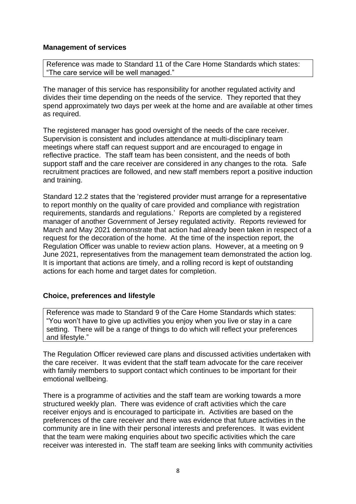#### **Management of services**

Reference was made to Standard 11 of the Care Home Standards which states: "The care service will be well managed."

The manager of this service has responsibility for another regulated activity and divides their time depending on the needs of the service. They reported that they spend approximately two days per week at the home and are available at other times as required.

The registered manager has good oversight of the needs of the care receiver. Supervision is consistent and includes attendance at multi-disciplinary team meetings where staff can request support and are encouraged to engage in reflective practice. The staff team has been consistent, and the needs of both support staff and the care receiver are considered in any changes to the rota. Safe recruitment practices are followed, and new staff members report a positive induction and training.

Standard 12.2 states that the 'registered provider must arrange for a representative to report monthly on the quality of care provided and compliance with registration requirements, standards and regulations.' Reports are completed by a registered manager of another Government of Jersey regulated activity. Reports reviewed for March and May 2021 demonstrate that action had already been taken in respect of a request for the decoration of the home. At the time of the inspection report, the Regulation Officer was unable to review action plans. However, at a meeting on 9 June 2021, representatives from the management team demonstrated the action log. It is important that actions are timely, and a rolling record is kept of outstanding actions for each home and target dates for completion.

#### **Choice, preferences and lifestyle**

Reference was made to Standard 9 of the Care Home Standards which states: "You won't have to give up activities you enjoy when you live or stay in a care setting. There will be a range of things to do which will reflect your preferences and lifestyle."

The Regulation Officer reviewed care plans and discussed activities undertaken with the care receiver. It was evident that the staff team advocate for the care receiver with family members to support contact which continues to be important for their emotional wellbeing.

There is a programme of activities and the staff team are working towards a more structured weekly plan. There was evidence of craft activities which the care receiver enjoys and is encouraged to participate in. Activities are based on the preferences of the care receiver and there was evidence that future activities in the community are in line with their personal interests and preferences. It was evident that the team were making enquiries about two specific activities which the care receiver was interested in. The staff team are seeking links with community activities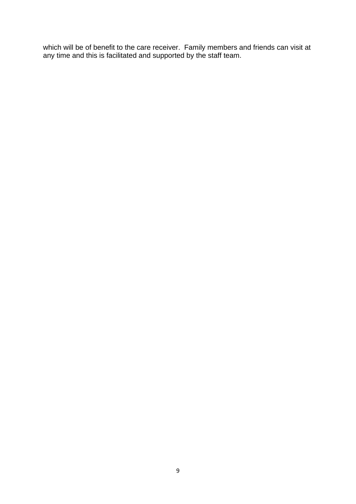which will be of benefit to the care receiver. Family members and friends can visit at any time and this is facilitated and supported by the staff team.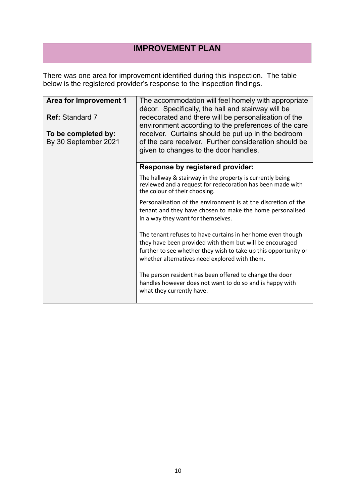## **IMPROVEMENT PLAN**

There was one area for improvement identified during this inspection. The table below is the registered provider's response to the inspection findings.

| Area for Improvement 1                      | The accommodation will feel homely with appropriate<br>décor. Specifically, the hall and stairway will be                                                                                                                                   |
|---------------------------------------------|---------------------------------------------------------------------------------------------------------------------------------------------------------------------------------------------------------------------------------------------|
| <b>Ref: Standard 7</b>                      | redecorated and there will be personalisation of the<br>environment according to the preferences of the care                                                                                                                                |
| To be completed by:<br>By 30 September 2021 | receiver. Curtains should be put up in the bedroom<br>of the care receiver. Further consideration should be<br>given to changes to the door handles.                                                                                        |
|                                             | <b>Response by registered provider:</b>                                                                                                                                                                                                     |
|                                             | The hallway & stairway in the property is currently being<br>reviewed and a request for redecoration has been made with<br>the colour of their choosing.                                                                                    |
|                                             | Personalisation of the environment is at the discretion of the<br>tenant and they have chosen to make the home personalised<br>in a way they want for themselves.                                                                           |
|                                             | The tenant refuses to have curtains in her home even though<br>they have been provided with them but will be encouraged<br>further to see whether they wish to take up this opportunity or<br>whether alternatives need explored with them. |
|                                             | The person resident has been offered to change the door<br>handles however does not want to do so and is happy with<br>what they currently have.                                                                                            |